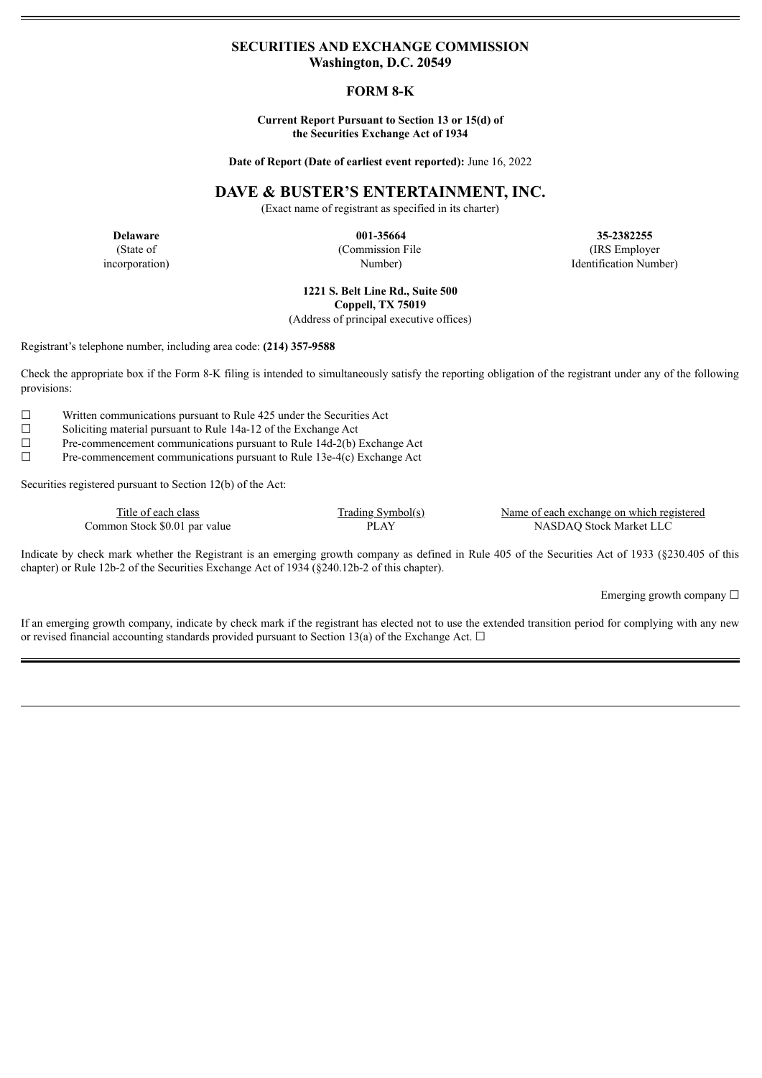# **SECURITIES AND EXCHANGE COMMISSION Washington, D.C. 20549**

# **FORM 8-K**

### **Current Report Pursuant to Section 13 or 15(d) of the Securities Exchange Act of 1934**

**Date of Report (Date of earliest event reported):** June 16, 2022

## **DAVE & BUSTER'S ENTERTAINMENT, INC.**

(Exact name of registrant as specified in its charter)

(State of

incorporation)

(Commission File Number)

**Delaware 001-35664 35-2382255** (IRS Employer Identification Number)

> **1221 S. Belt Line Rd., Suite 500 Coppell, TX 75019**

(Address of principal executive offices)

Registrant's telephone number, including area code: **(214) 357-9588**

Check the appropriate box if the Form 8-K filing is intended to simultaneously satisfy the reporting obligation of the registrant under any of the following provisions:

 $\Box$  Written communications pursuant to Rule 425 under the Securities Act  $\Box$  Soliciting material pursuant to Rule 14a-12 of the Exchange Act

Soliciting material pursuant to Rule 14a-12 of the Exchange Act

 $\Box$  Pre-commencement communications pursuant to Rule 14d-2(b) Exchange Act  $\Box$  Pre-commencement communications pursuant to Rule 13e-4(c) Exchange Act

Pre-commencement communications pursuant to Rule 13e-4(c) Exchange Act

Securities registered pursuant to Section 12(b) of the Act:

Common Stock \$0.01 par value

Trading Symbol(s) Name of each exchange on which registered<br>
Name of each exchange on which registered<br>
PLAY NASDAQ Stock Market LLC

Indicate by check mark whether the Registrant is an emerging growth company as defined in Rule 405 of the Securities Act of 1933 (§230.405 of this chapter) or Rule 12b-2 of the Securities Exchange Act of 1934 (§240.12b-2 of this chapter).

Emerging growth company  $\Box$ 

If an emerging growth company, indicate by check mark if the registrant has elected not to use the extended transition period for complying with any new or revised financial accounting standards provided pursuant to Section 13(a) of the Exchange Act.  $\Box$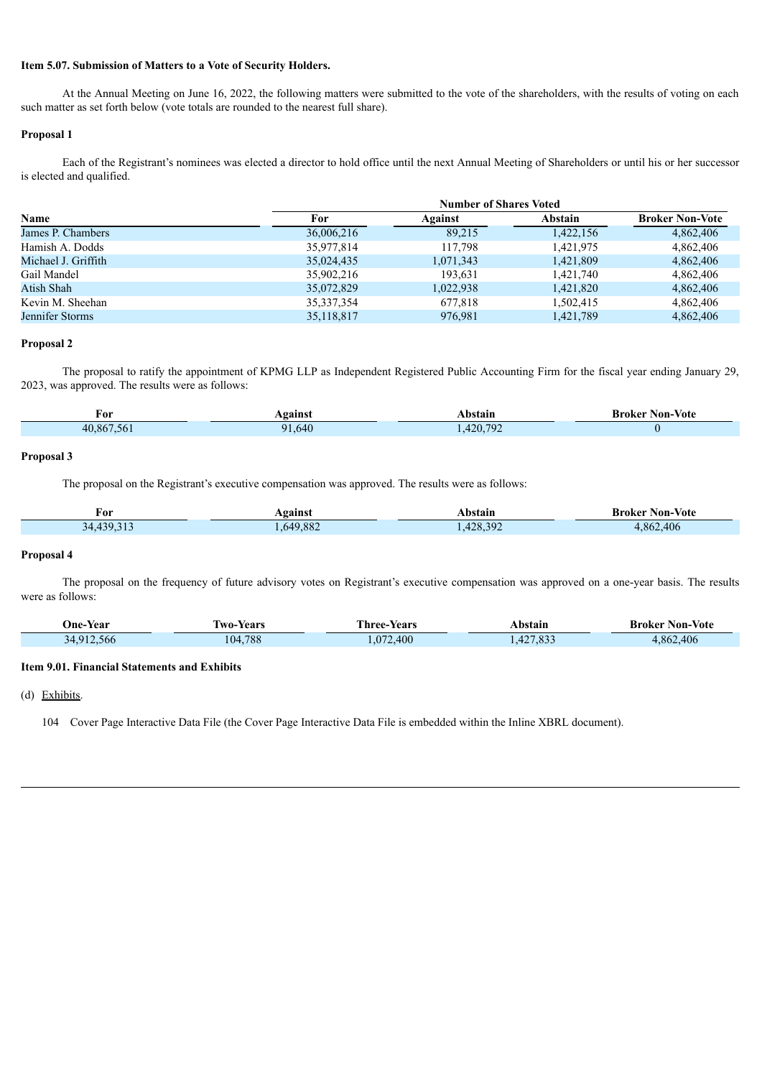### **Item 5.07. Submission of Matters to a Vote of Security Holders.**

At the Annual Meeting on June 16, 2022, the following matters were submitted to the vote of the shareholders, with the results of voting on each such matter as set forth below (vote totals are rounded to the nearest full share).

### **Proposal 1**

Each of the Registrant's nominees was elected a director to hold office until the next Annual Meeting of Shareholders or until his or her successor is elected and qualified.

|                     | <b>Number of Shares Voted</b> |           |           |                        |
|---------------------|-------------------------------|-----------|-----------|------------------------|
| <b>Name</b>         | For                           | Against   | Abstain   | <b>Broker Non-Vote</b> |
| James P. Chambers   | 36,006,216                    | 89,215    | 1,422,156 | 4.862.406              |
| Hamish A. Dodds     | 35,977,814                    | 117,798   | 1,421,975 | 4,862,406              |
| Michael J. Griffith | 35,024,435                    | 1,071,343 | 1,421,809 | 4,862,406              |
| Gail Mandel         | 35,902,216                    | 193,631   | 1,421,740 | 4,862,406              |
| Atish Shah          | 35,072,829                    | 1,022,938 | 1,421,820 | 4.862.406              |
| Kevin M. Sheehan    | 35, 337, 354                  | 677,818   | 1,502,415 | 4,862,406              |
| Jennifer Storms     | 35,118,817                    | 976.981   | 1,421,789 | 4.862.406              |

#### **Proposal 2**

The proposal to ratify the appointment of KPMG LLP as Independent Registered Public Accounting Firm for the fiscal year ending January 29, 2023, was approved. The results were as follows:

| For | Vgainst    | <b>\bstair</b><br>.         | - vote<br>Non-<br>Broker<br>. |
|-----|------------|-----------------------------|-------------------------------|
| 40  | n.<br>.640 | 79 <sup>°</sup><br>$\Delta$ |                               |

### **Proposal 3**

The proposal on the Registrant's executive compensation was approved. The results were as follows:

| F 01     | <b>\gainst</b> | Abstain        | <b>Non-Vote</b><br>Broker |
|----------|----------------|----------------|---------------------------|
| 34.43921 | 649.882        | 120.202<br>4/8 | 1862.406                  |

## **Proposal 4**

The proposal on the frequency of future advisory votes on Registrant's executive compensation was approved on a one-year basis. The results were as follows:

| <b>Une-Year</b>      | Iwo-Years | <b>CONTINUES</b><br>Three-Years | Abstain               | Non-Vote<br>Broker |
|----------------------|-----------|---------------------------------|-----------------------|--------------------|
| 34 912 566<br>12.566 | 104,788   | .072,400                        | 127022<br>دده. ا<br>. | .862.406           |

# **Item 9.01. Financial Statements and Exhibits**

## (d) Exhibits.

104 Cover Page Interactive Data File (the Cover Page Interactive Data File is embedded within the Inline XBRL document).